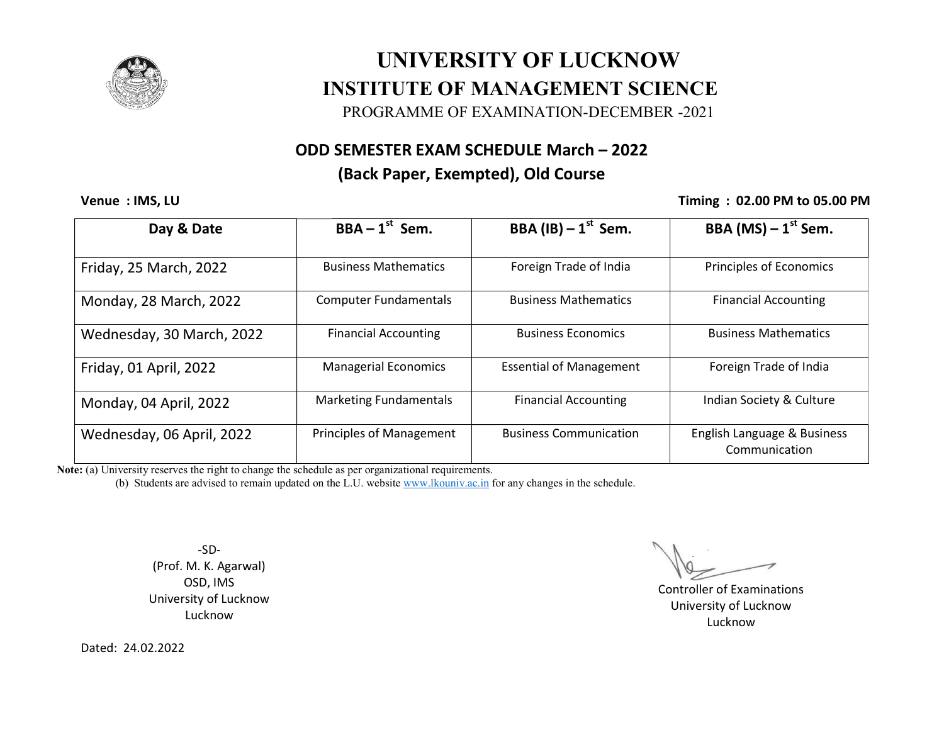

## UNIVERSITY OF LUCKNOW<br>INSTITUTE OF MANAGEMENT SCIENCE UNIVERSITY OF LUCKNOW

PROGRAMME OF EXAMINATION-DECEMBER -2021

### ODD SEMESTER EXAM SCHEDULE March – 2022

### (Back Paper, Exempted), Old Course

Venue : IMS, LU

### Timing : 02.00 PM to 05.00 PM

| Day & Date                | $BBA - 1st$ Sem.                | BBA (IB) $-1^{st}$ Sem.        | BBA (MS) $-1$ <sup>st</sup> Sem.             |
|---------------------------|---------------------------------|--------------------------------|----------------------------------------------|
| Friday, 25 March, 2022    | <b>Business Mathematics</b>     | Foreign Trade of India         | <b>Principles of Economics</b>               |
| Monday, 28 March, 2022    | <b>Computer Fundamentals</b>    | <b>Business Mathematics</b>    | <b>Financial Accounting</b>                  |
| Wednesday, 30 March, 2022 | <b>Financial Accounting</b>     | <b>Business Economics</b>      | <b>Business Mathematics</b>                  |
| Friday, 01 April, 2022    | <b>Managerial Economics</b>     | <b>Essential of Management</b> | Foreign Trade of India                       |
| Monday, 04 April, 2022    | <b>Marketing Fundamentals</b>   | <b>Financial Accounting</b>    | Indian Society & Culture                     |
| Wednesday, 06 April, 2022 | <b>Principles of Management</b> | <b>Business Communication</b>  | English Language & Business<br>Communication |

Note: (a) University reserves the right to change the schedule as per organizational requirements.

(b) Students are advised to remain updated on the L.U. website <u>www.lkouniv.ac.in</u> for any changes in the schedule.

-SD- (Prof. M. K. Agarwal) OSD, IMS University of Lucknow Lucknow

 Controller of Examinations University of Lucknow Lucknow

Dated: 24.02.2022